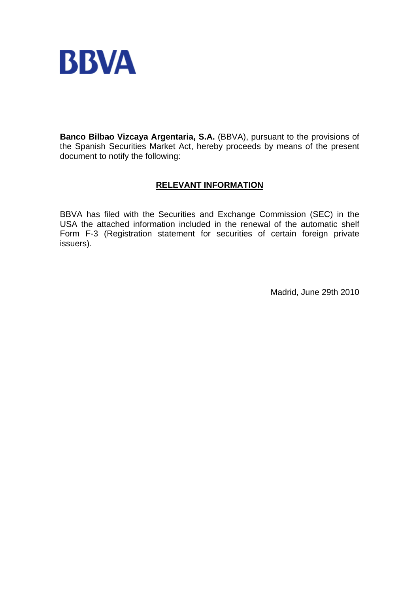

**Banco Bilbao Vizcaya Argentaria, S.A.** (BBVA), pursuant to the provisions of the Spanish Securities Market Act, hereby proceeds by means of the present document to notify the following:

## **RELEVANT INFORMATION**

BBVA has filed with the Securities and Exchange Commission (SEC) in the USA the attached information included in the renewal of the automatic shelf Form F-3 (Registration statement for securities of certain foreign private issuers).

Madrid, June 29th 2010